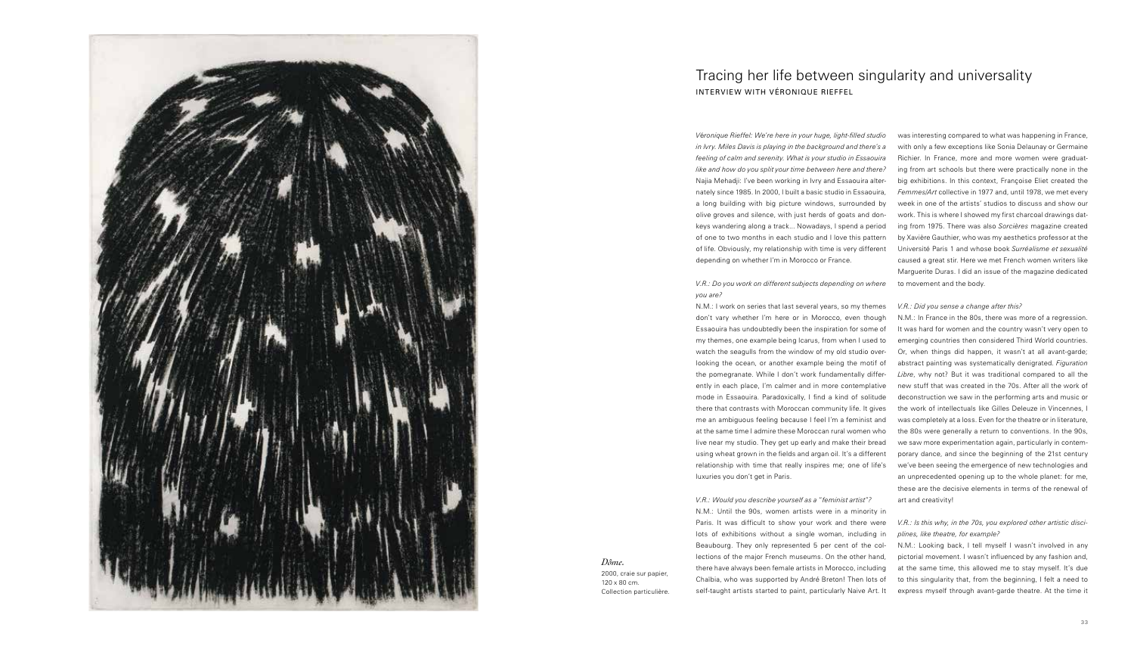*Dôme.*

2000, craie sur papier, 120 x 80 cm. Collection particulière. *V*é*ronique Rieffel: We*'*re here in your huge, light-filled studio in Ivry. Miles Davis is playing in the background and there*'*s a feeling of calm and serenity. What is your studio in Essaouira like and how do you split your time between here and there?* Najia Mehadji: I've been working in Ivry and Essaouira alternately since 1985. In 2000, I built a basic studio in Essaouira, a long building with big picture windows, surrounded by olive groves and silence, with just herds of goats and donkeys wandering along a track... Nowadays, I spend a period of one to two months in each studio and I love this pattern of life. Obviously, my relationship with time is very different depending on whether I'm in Morocco or France.

#### *V.R.: Do you work on different subjects depending on where*

*you are?*

N.M.: I work on series that last several years, so my themes don't vary whether I'm here or in Morocco, even though Essaouira has undoubtedly been the inspiration for some of my themes, one example being Icarus, from when I used to watch the seagulls from the window of my old studio overlooking the ocean, or another example being the motif of the pomegranate. While I don't work fundamentally differently in each place, I'm calmer and in more contemplative mode in Essaouira. Paradoxically, I find a kind of solitude there that contrasts with Moroccan community life. It gives me an ambiguous feeling because I feel I'm a feminist and at the same time I admire these Moroccan rural women who live near my studio. They get up early and make their bread using wheat grown in the fields and argan oil. It's a different relationship with time that really inspires me; one of life's luxuries you don't get in Paris.

*V.R.: Would you describe yourself as a* "*feminist artist*"*?* N.M.: Until the 90s, women artists were in a minority in Paris. It was difficult to show your work and there were lots of exhibitions without a single woman, including in Beaubourg. They only represented 5 per cent of the collections of the major French museums. On the other hand, there have always been female artists in Morocco, including Chaïbia, who was supported by André Breton! Then lots of self-taught artists started to paint, particularly Naive Art. It

was interesting compared to what was happening in France, with only a few exceptions like Sonia Delaunay or Germaine Richier. In France, more and more women were graduating from art schools but there were practically none in the big exhibitions. In this context, Françoise Eliet created the *Femmes/Art* collective in 1977 and, until 1978, we met every week in one of the artists' studios to discuss and show our work. This is where I showed my first charcoal drawings dating from 1975. There was also *Sorcières* magazine created by Xavière Gauthier, who was my aesthetics professor at the Université Paris 1 and whose book *Surréalisme et sexualité* caused a great stir. Here we met French women writers like Marguerite Duras. I did an issue of the magazine dedicated to movement and the body.

#### *V.R.: Did you sense a change after this?*

N.M.: In France in the 80s, there was more of a regression. It was hard for women and the country wasn't very open to emerging countries then considered Third World countries. Or, when things did happen, it wasn't at all avant-garde; abstract painting was systematically denigrated. *Figuration Libre*, why not? But it was traditional compared to all the new stuff that was created in the 70s. After all the work of deconstruction we saw in the performing arts and music or the work of intellectuals like Gilles Deleuze in Vincennes, I was completely at a loss. Even for the theatre or in literature, the 80s were generally a return to conventions. In the 90s, we saw more experimentation again, particularly in contemporary dance, and since the beginning of the 21st century we've been seeing the emergence of new technologies and an unprecedented opening up to the whole planet: for me, these are the decisive elements in terms of the renewal of art and creativity!

#### *V.R.: Is this why, in the 70s, you explored other artistic disciplines, like theatre, for example?*

N.M.: Looking back, I tell myself I wasn't involved in any pictorial movement. I wasn't influenced by any fashion and, at the same time, this allowed me to stay myself. It's due to this singularity that, from the beginning, I felt a need to express myself through avant-garde theatre. At the time it



## Tracing her life between singularity and universality INTERVIEW WITH VÉRONIQUE RIEFFEL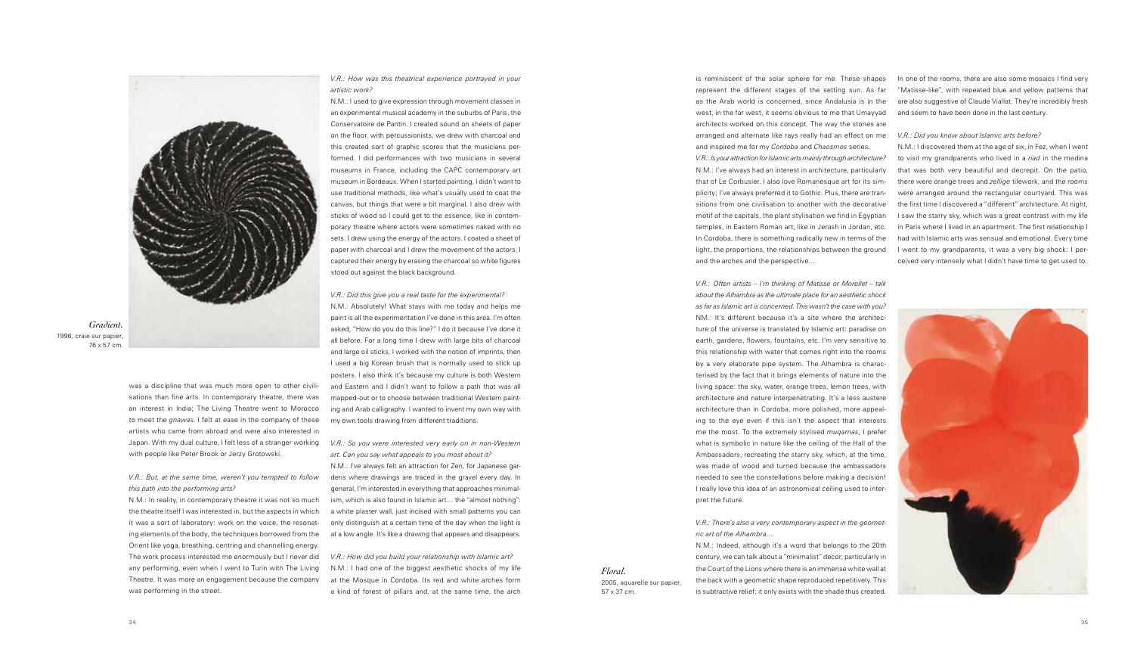is reminiscent of the solar sphere for me. These shapes represent the different stages of the setting sun. As far as the Arab world is concerned, since Andalusia is in the west, in the far west, it seems obvious to me that Umayyad architects worked on this concept. The way the stones are arranged and alternate like rays really had an effect on me and inspired me for my *Cordoba* and *Chaosmos* series.

*V.R.: Is your attraction for Islamic arts mainly through architecture?* N.M.: I've always had an interest in architecture, particularly that of Le Corbusier. I also love Romanesque art for its simplicity; I've always preferred it to Gothic. Plus, there are transitions from one civilisation to another with the decorative motif of the capitals, the plant stylisation we find in Egyptian temples, in Eastern Roman art, like in Jerash in Jordan, etc. In Cordoba, there is something radically new in terms of the light, the proportions, the relationships between the ground and the arches and the perspective…

In one of the rooms, there are also some mosaics I find very "Matisse-like", with repeated blue and yellow patterns that are also suggestive of Claude Viallat. They're incredibly fresh and seem to have been done in the last century.

*V.R.: Often artists – I'm thinking of Matisse or Morellet – talk about the Alhambra as the ultimate place for an aesthetic shock as far as Islamic art is concerned. This wasn't the case with you?* NM.: It's different because it's a site where the architecture of the universe is translated by Islamic art: paradise on earth, gardens, flowers, fountains, etc. I'm very sensitive to this relationship with water that comes right into the rooms by a very elaborate pipe system. The Alhambra is characterised by the fact that it brings elements of nature into the living space: the sky, water, orange trees, lemon trees, with architecture and nature interpenetrating. It's a less austere architecture than in Cordoba, more polished, more appealing to the eye even if this isn't the aspect that interests me the most. To the extremely stylised *muqarnas*, I prefer what is symbolic in nature like the ceiling of the Hall of the Ambassadors, recreating the starry sky, which, at the time, was made of wood and turned because the ambassadors needed to see the constellations before making a decision! I really love this idea of an astronomical ceiling used to inter-

pret the future.

# *V.R.: There*'*s also a very contemporary aspect in the geomet-*

*ric art of the Alhambra*… N.M.: Indeed, although it's a word that belongs to the 20th century, we can talk about a "minimalist" decor, particularly in the Court of the Lions where there is an immense white wall at the back with a geometric shape reproduced repetitively. This is subtractive relief: it only exists with the shade thus created.

#### *V.R.: Did you know about Islamic arts before?*

N.M.: I discovered them at the age of six, in Fez, when I went to visit my grandparents who lived in a *riad* in the medina that was both very beautiful and decrepit. On the patio, there were orange trees and *zellige* tilework, and the rooms were arranged around the rectangular courtyard. This was the first time I discovered a "different" architecture. At night, I saw the starry sky, which was a great contrast with my life in Paris where I lived in an apartment. The first relationship I had with Islamic arts was sensual and emotional. Every time I went to my grandparents, it was a very big shock: I perceived very intensely what I didn't have time to get used to.



was a discipline that was much more open to other civilisations than fine arts. In contemporary theatre, there was an interest in India; The Living Theatre went to Morocco to meet the *gnawas*. I felt at ease in the company of these artists who came from abroad and were also interested in Japan. With my dual culture, I felt less of a stranger working with people like Peter Brook or Jerzy Grotowski.

#### *V.R.: But, at the same time, weren*'*t you tempted to follow this path into the performing arts?*

N.M.: In reality, in contemporary theatre it was not so much the theatre itself I was interested in, but the aspects in which it was a sort of laboratory: work on the voice, the resonating elements of the body, the techniques borrowed from the Orient like yoga, breathing, centring and channelling energy. The work process interested me enormously but I never did any performing, even when I went to Turin with The Living Theatre. It was more an engagement because the company was performing in the street.

*V.R.: How was this theatrical experience portrayed in your artistic work?*

N.M.: I used to give expression through movement classes in an experimental musical academy in the suburbs of Paris, the Conservatoire de Pantin. I created sound on sheets of paper on the floor, with percussionists, we drew with charcoal and this created sort of graphic scores that the musicians performed. I did performances with two musicians in several museums in France, including the CAPC contemporary art museum in Bordeaux. When I started painting, I didn't want to use traditional methods, like what's usually used to coat the canvas, but things that were a bit marginal. I also drew with sticks of wood so I could get to the essence, like in contemporary theatre where actors were sometimes naked with no sets. I drew using the energy of the actors. I coated a sheet of paper with charcoal and I drew the movement of the actors, I captured their energy by erasing the charcoal so white figures stood out against the black background.

*V.R.: Did this give you a real taste for the experimental?* N.M.: Absolutely! What stays with me today and helps me paint is all the experimentation I've done in this area. I'm often asked, "How do you do this line?" I do it because I've done it all before. For a long time I drew with large bits of charcoal and large oil sticks, I worked with the notion of imprints, then I used a big Korean brush that is normally used to stick up posters. I also think it's because my culture is both Western and Eastern and I didn't want to follow a path that was all mapped-out or to choose between traditional Western painting and Arab calligraphy. I wanted to invent my own way with my own tools drawing from different traditions.

*V.R.: So you were interested very early on in non-Western art. Can you say what appeals to you most about it?*

N.M.: I've always felt an attraction for Zen, for Japanese gardens where drawings are traced in the gravel every day. In general, I'm interested in everything that approaches minimalism, which is also found in Islamic art… the "almost nothing": a white plaster wall, just incised with small patterns you can only distinguish at a certain time of the day when the light is at a low angle. It's like a drawing that appears and disappears.

*V.R.: How did you build your relationship with Islamic art?* N.M.: I had one of the biggest aesthetic shocks of my life at the Mosque in Cordoba. Its red and white arches form a kind of forest of pillars and, at the same time, the arch



*Gradient.* 1996, craie sur papier, 76 x 57 cm.

*Floral.*

2005, aquarelle sur papier,

57 x 37 cm.